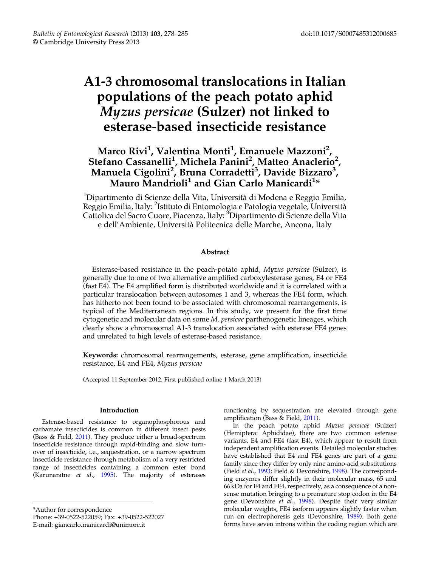# A1-3 chromosomal translocations in Italian populations of the peach potato aphid Myzus persicae (Sulzer) not linked to esterase-based insecticide resistance

# Marco Rivi<sup>1</sup>, Valentina Monti<sup>1</sup>, Emanuele Mazzoni<sup>2</sup>, Stefano Cassanelli<sup>1</sup>, Michela Panini<sup>2</sup>, Matteo Anaclerio<sup>2</sup>, Manuela Cigolini<sup>2</sup>, Bruna Corradetti<sup>3</sup>, Davide Bizzaro<sup>3</sup>, Mauro  $\rm M$ andr $\rm i$ oli $^1$  and Gian Carlo Manicardi $^{1*}$

<sup>1</sup>Dipartimento di Scienze della Vita, Università di Modena e Reggio Emilia, Reggio Emilia, Italy: <sup>2</sup>Istituto di Entomologia e Patologia vegetale, Università Cattolica del Sacro Cuore, Piacenza, Italy: <sup>3</sup>Dipartimento di Scienze della Vita e dell'Ambiente, Università Politecnica delle Marche, Ancona, Italy

# Abstract

Esterase-based resistance in the peach-potato aphid, Myzus persicae (Sulzer), is generally due to one of two alternative amplified carboxylesterase genes, E4 or FE4 (fast E4). The E4 amplified form is distributed worldwide and it is correlated with a particular translocation between autosomes 1 and 3, whereas the FE4 form, which has hitherto not been found to be associated with chromosomal rearrangements, is typical of the Mediterranean regions. In this study, we present for the first time cytogenetic and molecular data on some M. persicae parthenogenetic lineages, which clearly show a chromosomal A1-3 translocation associated with esterase FE4 genes and unrelated to high levels of esterase-based resistance.

Keywords: chromosomal rearrangements, esterase, gene amplification, insecticide resistance, E4 and FE4, Myzus persicae

(Accepted 11 September 2012; First published online 1 March 2013)

#### Introduction

Esterase-based resistance to organophosphorous and carbamate insecticides is common in different insect pests (Bass & Field, [2011\)](#page-6-0). They produce either a broad-spectrum insecticide resistance through rapid-binding and slow turnover of insecticide, i.e., sequestration, or a narrow spectrum insecticide resistance through metabolism of a very restricted range of insecticides containing a common ester bond (Karunaratne et al., [1995\)](#page-7-0). The majority of esterases

\*Author for correspondence

Phone: +39-0522-522059; Fax: +39-0522-522027

E-mail: giancarlo.manicardi@unimore.it

functioning by sequestration are elevated through gene amplification (Bass & Field, [2011\)](#page-6-0).

In the peach potato aphid Myzus persicae (Sulzer) (Hemiptera: Aphididae), there are two common esterase variants, E4 and FE4 (fast E4), which appear to result from independent amplification events. Detailed molecular studies have established that E4 and FE4 genes are part of a gene family since they differ by only nine amino-acid substitutions (Field et al., [1993;](#page-7-0) Field & Devonshire, [1998](#page-7-0)). The corresponding enzymes differ slightly in their molecular mass, 65 and 66 kDa for E4 and FE4, respectively, as a consequence of a nonsense mutation bringing to a premature stop codon in the E4 gene (Devonshire et al., [1998](#page-6-0)). Despite their very similar molecular weights, FE4 isoform appears slightly faster when run on electrophoresis gels (Devonshire, [1989\)](#page-6-0). Both gene forms have seven introns within the coding region which are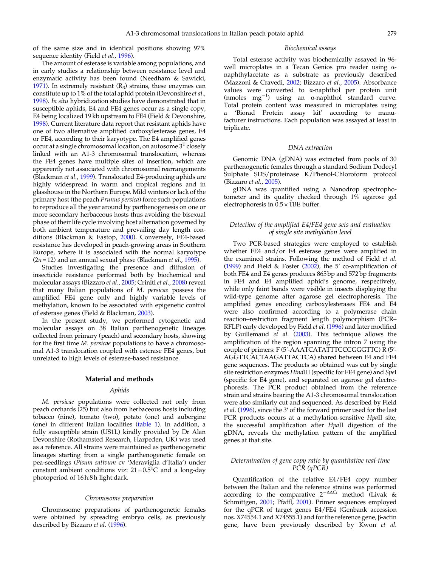of the same size and in identical positions showing 97% sequence identity (Field et al., [1996\)](#page-7-0).

The amount of esterase is variable among populations, and in early studies a relationship between resistance level and enzymatic activity has been found (Needham & Sawicki, [1971](#page-7-0)). In extremely resistant  $(R_3)$  strains, these enzymes can constitute up to 1% of the total aphid protein (Devonshire et al., [1998](#page-6-0)). In situ hybridization studies have demonstrated that in susceptible aphids, E4 and FE4 genes occur as a single copy, E4 being localized 19 kb upstream to FE4 (Field & Devonshire, [1998](#page-7-0)). Current literature data report that resistant aphids have one of two alternative amplified carboxylesterase genes, E4 or FE4, according to their karyotype. The E4 amplified genes occur at a single chromosomal location, on autosome  $3<sup>T</sup>$  closely linked with an A1-3 chromosomal translocation, whereas the FE4 genes have multiple sites of insertion, which are apparently not associated with chromosomal rearrangements (Blackman et al., [1999\)](#page-6-0). Translocated E4-producing aphids are highly widespread in warm and tropical regions and in glasshouse in the Northern Europe. Mild winters or lack of the primary host (the peach Prunus persica) force such populations to reproduce all the year around by parthenogenesis on one or more secondary herbaceous hosts thus avoiding the bisexual phase of their life cycle involving host alternation governed by both ambient temperature and prevailing day length conditions (Blackman & Eastop, [2000\)](#page-6-0). Conversely, FE4-based resistance has developed in peach-growing areas in Southern Europe, where it is associated with the normal karyotype  $(2n= 12)$  and an annual sexual phase (Blackman *et al.*, [1995](#page-6-0)).

Studies investigating the presence and diffusion of insecticide resistance performed both by biochemical and molecular assays (Bizzaro et al., [2005](#page-6-0); Criniti et al., [2008](#page-6-0)) reveal that many Italian populations of M. persicae possess the amplified FE4 gene only and highly variable levels of methylation, known to be associated with epigenetic control of esterase genes (Field & Blackman, [2003\)](#page-7-0).

In the present study, we performed cytogenetic and molecular assays on 38 Italian parthenogenetic lineages collected from primary (peach) and secondary hosts, showing for the first time M. persicae populations to have a chromosomal A1-3 translocation coupled with esterase FE4 genes, but unrelated to high levels of esterase-based resistance.

#### Material and methods

#### Aphids

M. persicae populations were collected not only from peach orchards (25) but also from herbaceous hosts including tobacco (nine), tomato (two), potato (one) and aubergine (one) in different Italian localities ([table 1](#page-2-0)). In addition, a fully susceptible strain (US1L) kindly provided by Dr Alan Devonshire (Rothamsted Research, Harpeden, UK) was used as a reference. All strains were maintained as parthenogenetic lineages starting from a single parthenogenetic female on pea-seedlings (Pisum sativum cv 'Meraviglia d'Italia') under constant ambient conditions viz:  $21 \pm 0.5^{\circ}$ C and a long-day photoperiod of 16 h:8 h light:dark.

#### Chromosome preparation

Chromosome preparations of parthenogenetic females were obtained by spreading embryo cells, as previously described by Bizzaro et al. ([1996\)](#page-6-0).

#### Biochemical assays

Total esterase activity was biochemically assayed in 96 well microplates in a Tecan Genios pro reader using αnaphthylacetate as a substrate as previously described (Mazzoni & Cravedi, [2002](#page-7-0); Bizzaro et al., [2005](#page-6-0)). Absorbance values were converted to α-naphthol per protein unit (nmoles  $mg^{-1}$ ) using an  $\alpha$ -naphthol standard curve. Total protein content was measured in microplates using a 'Biorad Protein assay kit' according to manufacturer instructions. Each population was assayed at least in triplicate.

#### DNA extraction

Genomic DNA (gDNA) was extracted from pools of 30 parthenogenetic females through a standard Sodium Dodecyl Sulphate SDS/proteinase K/Phenol-Chloroform protocol (Bizzaro et al., [2005\)](#page-6-0).

gDNA was quantified using a Nanodrop spectrophotometer and its quality checked through 1% agarose gel electrophoresis in 0.5 × TBE buffer.

#### Detection of the amplified E4/FE4 gene sets and evaluation of single site methylation level

Two PCR-based strategies were employed to establish whether FE4 and/or E4 esterase genes were amplified in the examined strains. Following the method of Field et al. [\(1999](#page-7-0)) and Field & Foster  $(2002)$  $(2002)$ , the 5' co-amplification of both FE4 and E4 genes produces 865 bp and 572 bp fragments in FE4 and E4 amplified aphid's genome, respectively, while only faint bands were visible in insects displaying the wild-type genome after agarose gel electrophoresis. The amplified genes encoding carboxylesterases FE4 and E4 were also confirmed according to a polymerase chain reaction–restriction fragment length polymorphism (PCR– RFLP) early developed by Field et al. ([1996\)](#page-7-0) and later modified by Guillemaud  $e\bar{t}$  al. [\(2003\)](#page-7-0). This technique allows the amplification of the region spanning the intron 7 using the couple of primers: F (5′-AAATCATATTTCCCGGGTTC) R (5′- AGGTTCACTAAGATTACTCA) shared between E4 and FE4 gene sequences. The products so obtained was cut by single site restriction enzymes HindIII (specific for FE4 gene) and SpeI (specific for E4 gene), and separated on agarose gel electrophoresis. The PCR product obtained from the reference strain and strains bearing the A1-3 chromosomal translocation were also similarly cut and sequenced. As described by Field et al. [\(1996](#page-7-0)), since the 3′ of the forward primer used for the last PCR products occurs at a methylation-sensitive HpaII site, the successful amplification after HpaII digestion of the gDNA, reveals the methylation pattern of the amplified genes at that site.

#### Determination of gene copy ratio by quantitative real-time PCR (qPCR)

Quantification of the relative E4/FE4 copy number between the Italian and the reference strains was performed according to the comparative  $2^{-\Delta\Delta Ct}$  method (Livak & Schmittgen, [2001;](#page-7-0) Pfaffl, [2001](#page-7-0)). Primer sequences employed for the qPCR of target genes E4/FE4 (Genbank accession nos. X74554.1 and X74555.1) and for the reference gene, β-actin gene, have been previously described by Kwon et al.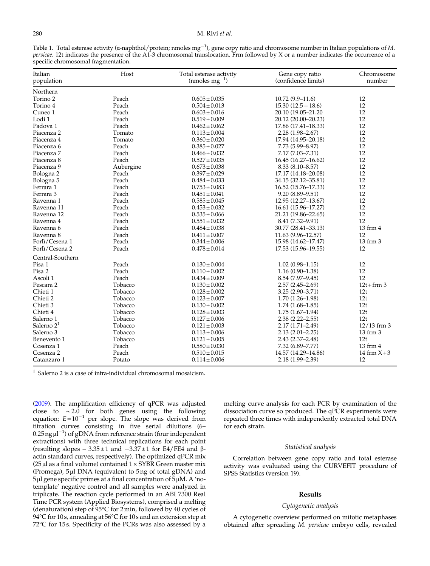#### <span id="page-2-0"></span>280 M. Rivi et al.

Table 1. Total esterase activity (α-naphthol/protein; nmoles mg<sup>-1</sup>), gene copy ratio and chromosome number in Italian populations of M. persicae. 12t indicates the presence of the A1-3 chromosomal translocation. Frm followed by X or a number indicates the occurrence of a specific chromosomal fragmentation.

| Italian<br>population | Host      | Total esterase activity<br>$(mmoles mg^{-1})$ | Gene copy ratio<br>(confidence limits) | Chromosome<br>number |
|-----------------------|-----------|-----------------------------------------------|----------------------------------------|----------------------|
| Northern              |           |                                               |                                        |                      |
| Torino <sub>2</sub>   | Peach     | $0.605 \pm 0.035$                             | $10.72(9.9 - 11.6)$                    | 12                   |
| Torino 4              | Peach     | $0.504 \pm 0.013$                             | $15.30(12.5 - 18.6)$                   | 12                   |
| Cuneo 1               | Peach     | $0.603 \pm 0.016$                             | 20.10 (19.05-21.20                     | 12                   |
| Lodi 1                | Peach     | $0.519 \pm 0.009$                             | 20.12 (20.00-20.23)                    | 12                   |
| Padova 1              | Peach     | $0.462 \pm 0.062$                             | 17.86 (17.41-18.33)                    | 12                   |
| Piacenza 2            | Tomato    | $0.113 \pm 0.004$                             | $2.28(1.98 - 2.67)$                    | 12                   |
| Piacenza 4            | Tomato    | $0.360 \pm 0.020$                             | 17.94 (14.95-20.18)                    | 12                   |
| Piacenza 6            | Peach     | $0.385 \pm 0.027$                             | 7.73 (5.99-8.97)                       | 12                   |
| Piacenza 7            | Peach     | $0.466 \pm 0.032$                             | 7.17 (7.03-7.31)                       | 12                   |
| Piacenza 8            | Peach     | $0.527 \pm 0.035$                             | 16.45 (16.27-16.62)                    | 12                   |
| Piacenza 9            | Aubergine | $0.673 \pm 0.038$                             | $8.33(8.10 - 8.57)$                    | 12                   |
| Bologna 2             | Peach     | $0.397 \pm 0.029$                             | 17.17 (14.18-20.08)                    | 12                   |
| Bologna 5             | Peach     | $0.484 \pm 0.033$                             | 34.15 (32.12-35.81)                    | 12                   |
| Ferrara 1             | Peach     | $0.753 \pm 0.083$                             | 16.52 (15.76-17.33)                    | 12                   |
| Ferrara 3             | Peach     | $0.451 \pm 0.041$                             | $9.20(8.89 - 9.51)$                    | 12                   |
| Ravenna 1             | Peach     | $0.585 \pm 0.045$                             | 12.95 (12.27–13.67)                    | 12                   |
| Ravenna 11            | Peach     | $0.453 \pm 0.032$                             | 16.61 (15.96-17.27)                    | 12                   |
| Ravenna 12            | Peach     | $0.535 \pm 0.066$                             | 21.21 (19.86-22.65)                    | 12                   |
| Ravenna 4             | Peach     | $0.551 \pm 0.032$                             | 8.41 (7.32-9.91)                       | 12                   |
| Ravenna 6             | Peach     | $0.484 \pm 0.038$                             | 30.77 (28.41-33.13)                    | 13 frm 4             |
| Ravenna 8             | Peach     | $0.411 \pm 0.007$                             | 11.63 (9.96-12.57)                     | 12                   |
| Forlì/Cesena 1        | Peach     | $0.344 \pm 0.006$                             | 15.98 (14.62-17.47)                    | 13 frm 3             |
| Forlì/Cesena 2        | Peach     | $0.478 \pm 0.014$                             | 17.53 (15.96-19.55)                    | 12                   |
| Central-Southern      |           |                                               |                                        |                      |
| Pisa 1                | Peach     | $0.130 \pm 0.004$                             | $1.02(0.98 - 1.15)$                    | 12                   |
| Pisa 2                | Peach     | $0.110 \pm 0.002$                             | $1.16(0.90 - 1.38)$                    | 12                   |
| Ascoli 1              | Peach     | $0.434 \pm 0.009$                             | 8.54 (7.97-9.45)                       | 12                   |
| Pescara 2             | Tobacco   | $0.130 \pm 0.002$                             | $2.57(2.45 - 2.69)$                    | $12t + frm$ 3        |
| Chieti 1              | Tobacco   | $0.128 \pm 0.002$                             | 3.25 (2.90-3.71)                       | 12t                  |
| Chieti 2              | Tobacco   | $0.123 \pm 0.007$                             | $1.70(1.26 - 1.98)$                    | 12t                  |
| Chieti 3              | Tobacco   | $0.130 \pm 0.002$                             | $1.74(1.68-1.85)$                      | 12t                  |
| Chieti 4              | Tobacco   | $0.128 \pm 0.003$                             | $1.75(1.67-1.94)$                      | 12t                  |
| Salerno 1             | Tobacco   | $0.127 \pm 0.006$                             | $2.38(2.22 - 2.55)$                    | 12t                  |
| Salerno $21$          | Tobacco   | $0.121 \pm 0.003$                             | $2.17(1.71 - 2.49)$                    | $12/13$ frm 3        |
| Salerno 3             | Tobacco   | $0.113 \pm 0.006$                             | $2.13(2.01 - 2.25)$                    | 13 frm 3             |
| Benevento 1           | Tobacco   | $0.121 \pm 0.005$                             | $2.43(2.37 - 2.48)$                    | 12t                  |
| Cosenza 1             | Peach     | $0.580 \pm 0.030$                             | 7.32 (6.89-7.77)                       | 13 frm 4             |
| Cosenza 2             | Peach     | $0.510 \pm 0.015$                             | 14.57 (14.29–14.86)                    | 14 frm $X+3$         |
| Catanzaro 1           | Potato    | $0.114 \pm 0.006$                             | 2.18 (1.99-2.39)                       | 12                   |

 $1$  Salerno 2 is a case of intra-individual chromosomal mosaicism.

[\(2009](#page-7-0)). The amplification efficiency of qPCR was adjusted close to  $\sim$ 2.0 for both genes using the following equation:  $E$ =10<sup>-1</sup> per slope. The slope was derived from titration curves consisting in five serial dilutions (6–  $0.25$ ng  $\mu$ <sup>-1</sup>) of gDNA from reference strain (four independent extractions) with three technical replications for each point (resulting slopes –  $3.35 \pm 1$  and  $-3.37 \pm 1$  for E4/FE4 and  $\beta$ actin standard curves, respectively). The optimized qPCR mix ( $25 \mu$ l as a final volume) contained  $1 \times SYBR$  Green master mix (Promega), 5μl DNA (equivalent to 5 ng of total gDNA) and 5μl gene specific primes at a final concentration of 5μM. A 'notemplate' negative control and all samples were analyzed in triplicate. The reaction cycle performed in an ABI 7300 Real Time PCR system (Applied Biosystems), comprised a melting (denaturation) step of 95°C for 2min, followed by 40 cycles of 94°C for 10 s, annealing at 56°C for 10 s and an extension step at 72°C for 15s. Specificity of the PCRs was also assessed by a melting curve analysis for each PCR by examination of the dissociation curve so produced. The qPCR experiments were repeated three times with independently extracted total DNA for each strain.

#### Statistical analysis

Correlation between gene copy ratio and total esterase activity was evaluated using the CURVEFIT procedure of SPSS Statistics (version 19).

# Results

# Cytogenetic analysis

A cytogenetic overview performed on mitotic metaphases obtained after spreading M. persicae embryo cells, revealed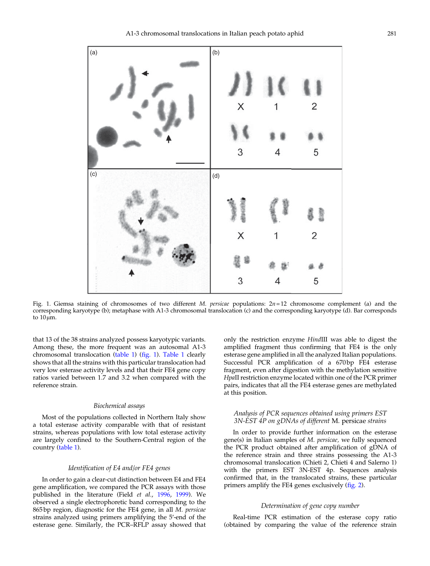

Fig. 1. Giemsa staining of chromosomes of two different *M. persicae* populations:  $2n=12$  chromosome complement (a) and the corresponding karyotype (b); metaphase with A1-3 chromosomal translocation (c) and the corresponding karyotype (d). Bar corresponds to 10μm.

that 13 of the 38 strains analyzed possess karyotypic variants. Among these, the more frequent was an autosomal A1-3 chromosomal translocation ([table 1\)](#page-2-0) (fig. 1). [Table 1](#page-2-0) clearly shows that all the strains with this particular translocation had very low esterase activity levels and that their FE4 gene copy ratios varied between 1.7 and 3.2 when compared with the reference strain.

#### Biochemical assays

Most of the populations collected in Northern Italy show a total esterase activity comparable with that of resistant strains, whereas populations with low total esterase activity are largely confined to the Southern-Central region of the country ([table 1](#page-2-0)).

#### Identification of E4 and/or FE4 genes

In order to gain a clear-cut distinction between E4 and FE4 gene amplification, we compared the PCR assays with those published in the literature (Field et al., [1996,](#page-7-0) [1999\)](#page-7-0). We observed a single electrophoretic band corresponding to the 865 bp region, diagnostic for the FE4 gene, in all M. persicae strains analyzed using primers amplifying the 5′-end of the esterase gene. Similarly, the PCR–RFLP assay showed that only the restriction enzyme HindIII was able to digest the amplified fragment thus confirming that FE4 is the only esterase gene amplified in all the analyzed Italian populations. Successful PCR amplification of a 670 bp FE4 esterase fragment, even after digestion with the methylation sensitive HpaII restriction enzyme located within one of the PCR primer pairs, indicates that all the FE4 esterase genes are methylated at this position.

#### Analysis of PCR sequences obtained using primers EST 3N-EST 4P on gDNAs of different M. persicae strains

In order to provide further information on the esterase gene(s) in Italian samples of M. persicae, we fully sequenced the PCR product obtained after amplification of gDNA of the reference strain and three strains possessing the A1-3 chromosomal translocation (Chieti 2, Chieti 4 and Salerno 1) with the primers EST 3N-EST 4p. Sequences analysis confirmed that, in the translocated strains, these particular primers amplify the FE4 genes exclusively [\(fig. 2](#page-4-0)).

# Determination of gene copy number

Real-time PCR estimation of the esterase copy ratio (obtained by comparing the value of the reference strain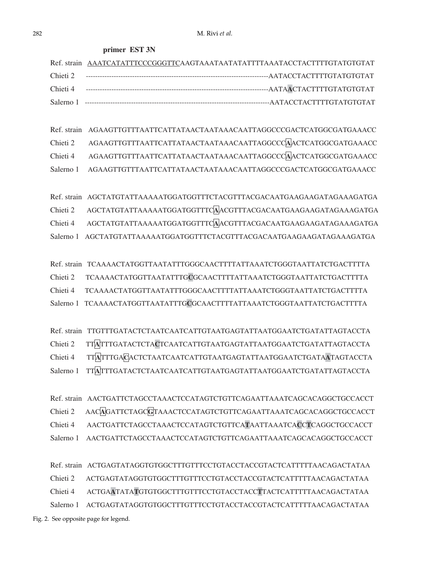**primer EST 3N** 

<span id="page-4-0"></span>

| Ref. strain AAATCATATTTCCCGGGTTCAAGTAAATAATATATTTTAAATACCTACTTTTGTATGTGTAT |
|----------------------------------------------------------------------------|
|                                                                            |
| --------AATAACTACTTTTGTATGTGTAT                                            |
|                                                                            |

Ref. strain AGAAGTTGTTTAATTCATTATAACTAATAAACAATTAGGCCCGACTCATGGCGATGAAACC Chieti 2 AGAAGTTGTTTAATTCATTATAACTAATAAACAATTAGGCCC**A**ACTCATGGCGATGAAACC Chieti 4 AGAAGTTGTTTAATTCATTATAACTAATAAACAATTAGGCCC**A**ACTCATGGCGATGAAACC Salerno 1 AGAAGTTGTTTAATTCATTATAACTAATAAACAATTAGGCCCGACTCATGGCGATGAAACC

Ref. strain AGCTATGTATTAAAAATGGATGGTTTCTACGTTTACGACAATGAAGAAGATAGAAAGATGA Chieti 2 AGCTATGTATTAAAAATGGATGGTTTC**A**ACGTTTACGACAATGAAGAAGATAGAAAGATGA Chieti 4 AGCTATGTATTAAAAATGGATGGTTTC**A**ACGTTTACGACAATGAAGAAGATAGAAAGATGA Salerno 1 AGCTATGTATTAAAAATGGATGGTTTCTACGTTTACGACAATGAAGAAGATAGAAAGATGA

Ref. strain TCAAAACTATGGTTAATATTTGGGCAACTTTTATTAAATCTGGGTAATTATCTGACTTTTA Chieti 2 TCAAAACTATGGTTAATATTTG**C**GCAACTTTTATTAAATCTGGGTAATTATCTGACTTTTA Chieti 4 TCAAAACTATGGTTAATATTTGGGCAACTTTTATTAAATCTGGGTAATTATCTGACTTTTA Salerno 1 TCAAAACTATGGTTAATATTTG**C**GCAACTTTTATTAAATCTGGGTAATTATCTGACTTTTA

Ref. strain TTGTTTGATACTCTAATCAATCATTGTAATGAGTATTAATGGAATCTGATATTAGTACCTA Chieti 2 TT**A**TTTGATACTCTA**C**TCAATCATTGTAATGAGTATTAATGGAATCTGATATTAGTACCTA Chieti 4 TT**A**TTTGA**C**ACTCTAATCAATCATTGTAATGAGTATTAATGGAATCTGATA**A**TAGTACCTA Salerno 1 TT**A**TTTGATACTCTAATCAATCATTGTAATGAGTATTAATGGAATCTGATATTAGTACCTA

Ref. strain AACTGATTCTAGCCTAAACTCCATAGTCTGTTCAGAATTAAATCAGCACAGGCTGCCACCT Chieti 2 AAC**A**GATTCTAGC**G**TAAACTCCATAGTCTGTTCAGAATTAAATCAGCACAGGCTGCCACCT Chieti 4 AACTGATTCTAGCCTAAACTCCATAGTCTGTTCA**T**AATTAAATCA**C**C**T**CAGGCTGCCACCT Salerno 1 AACTGATTCTAGCCTAAACTCCATAGTCTGTTCAGAATTAAATCAGCACAGGCTGCCACCT

Ref. strain ACTGAGTATAGGTGTGGCTTTGTTTCCTGTACCTACCGTACTCATTTTTAACAGACTATAA Chieti 2 ACTGAGTATAGGTGTGGCTTTGTTTCCTGTACCTACCGTACTCATTTTTAACAGACTATAA Chieti 4 ACTGA**A**TATA**T**GTGTGGCTTTGTTTCCTGTACCTACC**T**TACTCATTTTTAACAGACTATAA Salerno 1 ACTGAGTATAGGTGTGGCTTTGTTTCCTGTACCTACCGTACTCATTTTTAACAGACTATAA Fig. 2. See opposite page for legend.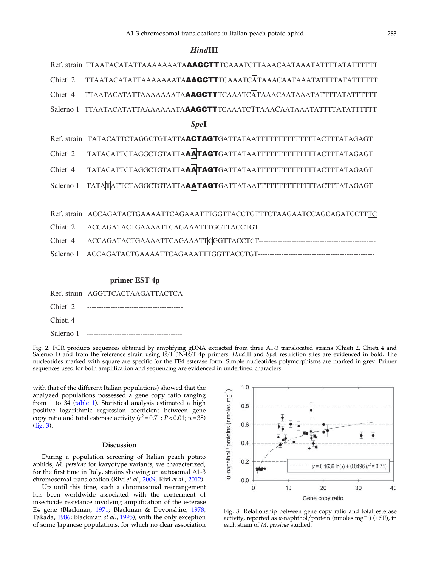# *Hind***III**

| SpeI |
|------|
|      |
|      |

- Chieti 4 TATACATTCTAGGCTGTATTA**AATAGT**GATTATAATTTTTTTTTTTTTTACTTTATAGAGT
- Salerno 1 TATA**T**ATTCTAGGCTGTATTA**AATAGT**GATTATAATTTTTTTTTTTTTTACTTTATAGAGT

Ref. strain ACCAGATACTGAAAATTCAGAAATTTGGTTACCTGTTTCTAAGAATCCAGCAGATCCTTTC Chieti 2 ACCAGATACTGAAAATTCAGAAATTTGGTTACCTGT-------------------------------------------------- Chieti 4 ACCAGATACTGAAAATTCAGAAATT**C**GGTTACCTGT-------------------------------------------------- Salerno 1 ACCAGATACTGAAAATTCAGAAATTTGGTTACCTGT--------------------------------------------------

## **primer EST 4p**

|  | Ref. strain AGGTTCACTAAGATTACTCA |
|--|----------------------------------|
|--|----------------------------------|

| Chieti 2    |  |
|-------------|--|
| Chieti 4    |  |
| Salerno 1 - |  |

Fig. 2. PCR products sequences obtained by amplifying gDNA extracted from three A1-3 translocated strains (Chieti 2, Chieti 4 and Salerno 1) and from the reference strain using EST 3N-EST 4p primers. HindIII and SpeI restriction sites are evidenced in bold. The nucleotides marked with square are specific for the FE4 esterase form. Simple nucleotides polymorphisms are marked in grey. Primer sequences used for both amplification and sequencing are evidenced in underlined characters.

with that of the different Italian populations) showed that the analyzed populations possessed a gene copy ratio ranging from 1 to 34 [\(table 1](#page-2-0)). Statistical analysis estimated a high positive logarithmic regression coefficient between gene copy ratio and total esterase activity  $(r^2=0.71; P<0.01; n=38)$ (fig. 3).

#### Discussion

During a population screening of Italian peach potato aphids, M. persicae for karyotype variants, we characterized, for the first time in Italy, strains showing an autosomal A1-3 chromosomal translocation (Rivi et al., [2009](#page-7-0), Rivi et al., [2012](#page-7-0)).

Up until this time, such a chromosomal rearrangement has been worldwide associated with the conferment of insecticide resistance involving amplification of the esterase E4 gene (Blackman, [1971](#page-6-0); Blackman & Devonshire, [1978](#page-6-0); Takada, [1986;](#page-7-0) Blackman et al., [1995](#page-6-0)), with the only exception of some Japanese populations, for which no clear association



Fig. 3. Relationship between gene copy ratio and total esterase activity, reported as  $\alpha$ -naphthol/protein (nmoles mg<sup>-1</sup>) ( $\pm$ SE), in each strain of M. persicae studied.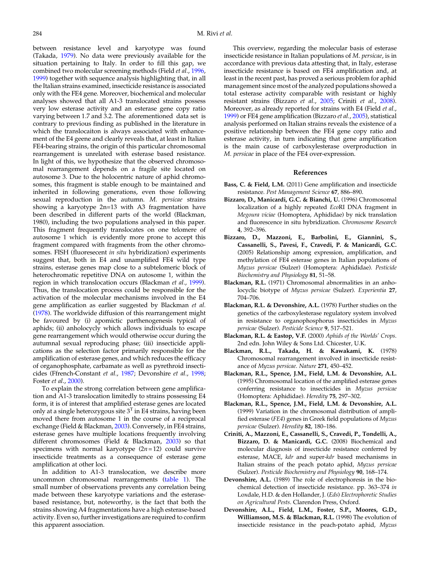<span id="page-6-0"></span>between resistance level and karyotype was found (Takada, [1979](#page-7-0)). No data were previously available for the situation pertaining to Italy. In order to fill this gap, we combined two molecular screening methods (Field et al., [1996](#page-7-0), [1999](#page-7-0)) together with sequence analysis highlighting that, in all the Italian strains examined, insecticide resistance is associated only with the FE4 gene. Moreover, biochemical and molecular analyses showed that all A1-3 translocated strains possess very low esterase activity and an esterase gene copy ratio varying between 1.7 and 3.2. The aforementioned data set is contrary to previous finding as published in the literature in which the translocaiton is always associated with enhancement of the E4 geene and clearly reveals that, at least in Italian FE4-bearing strains, the origin of this particular chromosomal rearrangement is unrelated with esterase based resistance. In light of this, we hypothesize that the observed chromosomal rearrangement depends on a fragile site located on autosome 3. Due to the holocentric nature of aphid chromosomes, this fragment is stable enough to be maintained and inherited in following generations, even those following sexual reproduction in the autumn. M. persicae strains showing a karyotype 2n=13 with A3 fragmentation have been described in different parts of the world (Blackman, 1980), including the two populations analysed in this paper. This fragment frequently translocates on one telomere of autosome 1 which is evidently more prone to accept this fragment compared with fragments from the other chromosomes. FISH (fluoresecent in situ hybridization) experiments suggest that, both in E4 and unamplified FE4 wild type strains, esterase genes map close to a subtelomeric block of heterochromatic repetitive DNA on autosome 1, within the region in which translocation occurs (Blackman et al., 1999). Thus, the translocation process could be responsible for the activation of the molecular mechanisms involved in the E4 gene amplification as earlier suggested by Blackman et al. (1978). The worldwide diffusion of this rearrangement might be favoured by (i) apomictic parthenogenesis typical of aphids; (ii) anholocycly which allows individuals to escape gene rearrangement which would otherwise occur during the autumnal sexual reproducing phase; (iii) insecticide applications as the selection factor primarily responsible for the amplification of esterase genes, and which reduces the efficacy of organophosphate, carbamate as well as pyrethroid insecticides (Ffrench-Constant et al., [1987;](#page-7-0) Devonshire et al., 1998; Foster et al., [2000](#page-7-0)).

To explain the strong correlation between gene amplification and A1-3 translocation limitedly to strains possessing E4 form, it is of interest that amplified esterase genes are located only at a single heterozygous site  $3<sup>T</sup>$  in E4 strains, having been moved there from autosome 1 in the course of a reciprocal exchange (Field & Blackman, [2003](#page-7-0)). Conversely, in FE4 strains, esterase genes have multiple locations frequently involving different chromosomes (Field & Blackman, [2003\)](#page-7-0) so that specimens with normal karyotype  $(2n=12)$  could survive insecticide treatments as a consequence of esterase gene amplification at other loci.

In addition to A1-3 translocation, we describe more uncommon chromosomal rearrangements [\(table 1](#page-2-0)). The small number of observations prevents any correlation being made between these karyotype variations and the esterasebased resistance, but, noteworthy, is the fact that both the strains showing A4 fragmentations have a high esterase-based activity. Even so, further investigations are required to confirm this apparent association.

This overview, regarding the molecular basis of esterase insecticide resistance in Italian populations of M. persicae, is in accordance with previous data attesting that, in Italy, esterase insecticide resistance is based on FE4 amplification and, at least in the recent past, has proved a serious problem for aphid management since most of the analyzed populations showed a total esterase activity comparable with resistant or highly resistant strains (Bizzaro et al., 2005; Criniti et al., 2008). Moreover, as already reported for strains with E4 (Field et al., [1999](#page-7-0)) or FE4 gene amplification (Bizzaro et al., 2005), statistical analysis performed on Italian strains reveals the existence of a positive relationship between the FE4 gene copy ratio and esterase activity, in turn indicating that gene amplification is the main cause of carboxylesterase overproduction in M. persicae in place of the FE4 over-expression.

#### References

- Bass, C. & Field, L.M. (2011) Gene amplification and insecticide resistance. Pest Management Science 67, 886–890.
- Bizzaro, D., Manicardi, G.C. & Bianchi, U. (1996) Chromosomal localization of a highly repeated EcoRI DNA fragment in Megoura viciae (Homoptera, Aphididae) by nick translation and fluorescence in situ hybridization. Chromosome Research 4, 392–396.
- Bizzaro, D., Mazzoni, E., Barbolini, E., Giannini, S., Cassanelli, S., Pavesi, F., Cravedi, P. & Manicardi, G.C. (2005) Relationship among expression, amplification, and methylation of FE4 esterase genes in Italian populations of Myzus persicae (Sulzer) (Homoptera: Aphididae). Pesticide Biochemistry and Physiology 81, 51–58.
- Blackman, R.L. (1971) Chromosomal abnormalities in an anholocyclic biotype of Myzus persicae (Sulzer). Experientia 27, 704–706.
- Blackman, R.L. & Devonshire, A.L. (1978) Further studies on the genetics of the carboxylesterase regulatory system involved in resistance to organophosphorus insecticides in Myzus persicae (Sulzer). Pesticide Science 9, 517–521.
- Blackman, R.L. & Eastop, V.F. (2000) Aphids of the Worlds*'* Crops. 2nd edn. John Wiley & Sons Ltd. Chicester, U.K.
- Blackman, R.L., Takada, H. & Kawakami, K. (1978) Chromosomal rearrangement involved in insecticide resistance of Myzus persicae. Nature 271, 450–452.
- Blackman, R.L., Spence, J.M., Field, L.M. & Devonshire, A.L. (1995) Chromosomal location of the amplified esterase genes conferring resistance to insecticides in Myzus persicae (Homoptera: Aphididae). Heredity 75, 297–302.
- Blackman, R.L., Spence, J.M., Field, L.M. & Devonshire, A.L. (1999) Variation in the chromosomal distribution of amplified esterase (FE4) genes in Greek field populations of Myzus persicae (Sulzer). Heredity 82, 180–186.
- Criniti, A., Mazzoni, E., Cassanelli, S., Cravedi, P., Tondelli, A., Bizzaro, D. & Manicardi, G.C. (2008) Biochemical and molecular diagnosis of insecticide resistance conferred by esterase, MACE, kdr and super-kdr based mechanisms in Italian strains of the peach potato aphid, Myzus persicae (Sulzer). Pesticide Biochemistry and Physiology 90, 168–174.
- Devonshire, A.L. (1989) The role of electrophoresis in the biochemical detection of insecticide resistance. pp. 363–374 in Loxdale, H.D. & den Hollander, J. (Eds) Electrophoretic Studies on Agricultural Pests. Clarendon Press, Oxford.
- Devonshire, A.L., Field, L.M., Foster, S.P., Moores, G.D., Williamson, M.S. & Blackman, R.L. (1998) The evolution of insecticide resistance in the peach-potato aphid, Myzus